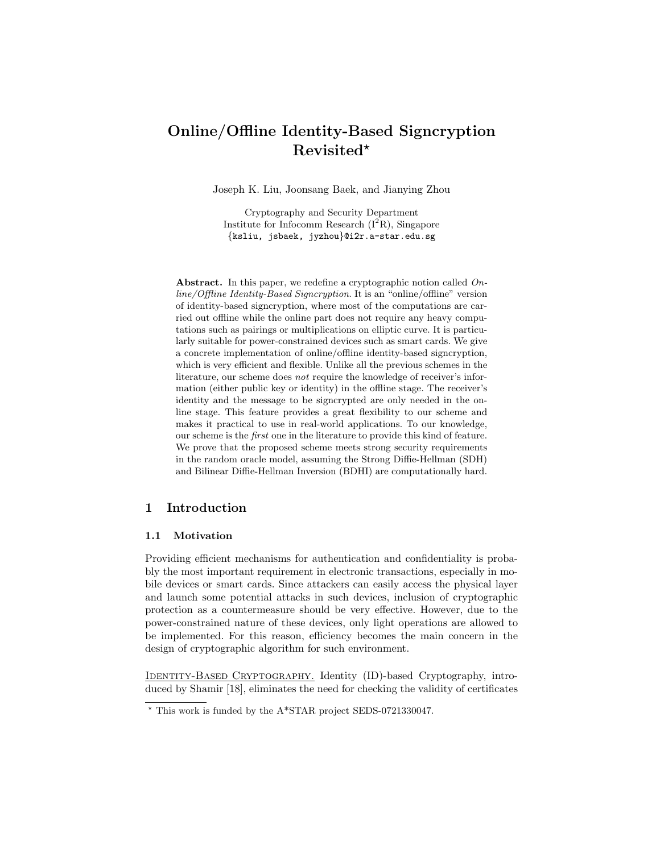# Online/Offline Identity-Based Signcryption Revisited\*

Joseph K. Liu, Joonsang Baek, and Jianying Zhou

Cryptography and Security Department Institute for Infocomm Research  $(I^2R)$ , Singapore {ksliu, jsbaek, jyzhou}@i2r.a-star.edu.sg

Abstract. In this paper, we redefine a cryptographic notion called  $On$ line/Offline Identity-Based Signcryption. It is an "online/offline" version of identity-based signcryption, where most of the computations are carried out offline while the online part does not require any heavy computations such as pairings or multiplications on elliptic curve. It is particularly suitable for power-constrained devices such as smart cards. We give a concrete implementation of online/offline identity-based signcryption, which is very efficient and flexible. Unlike all the previous schemes in the literature, our scheme does not require the knowledge of receiver's information (either public key or identity) in the offline stage. The receiver's identity and the message to be signcrypted are only needed in the online stage. This feature provides a great flexibility to our scheme and makes it practical to use in real-world applications. To our knowledge, our scheme is the first one in the literature to provide this kind of feature. We prove that the proposed scheme meets strong security requirements in the random oracle model, assuming the Strong Diffie-Hellman (SDH) and Bilinear Diffie-Hellman Inversion (BDHI) are computationally hard.

# 1 Introduction

### 1.1 Motivation

Providing efficient mechanisms for authentication and confidentiality is probably the most important requirement in electronic transactions, especially in mobile devices or smart cards. Since attackers can easily access the physical layer and launch some potential attacks in such devices, inclusion of cryptographic protection as a countermeasure should be very effective. However, due to the power-constrained nature of these devices, only light operations are allowed to be implemented. For this reason, efficiency becomes the main concern in the design of cryptographic algorithm for such environment.

Identity-Based Cryptography. Identity (ID)-based Cryptography, introduced by Shamir [18], eliminates the need for checking the validity of certificates

<sup>?</sup> This work is funded by the A\*STAR project SEDS-0721330047.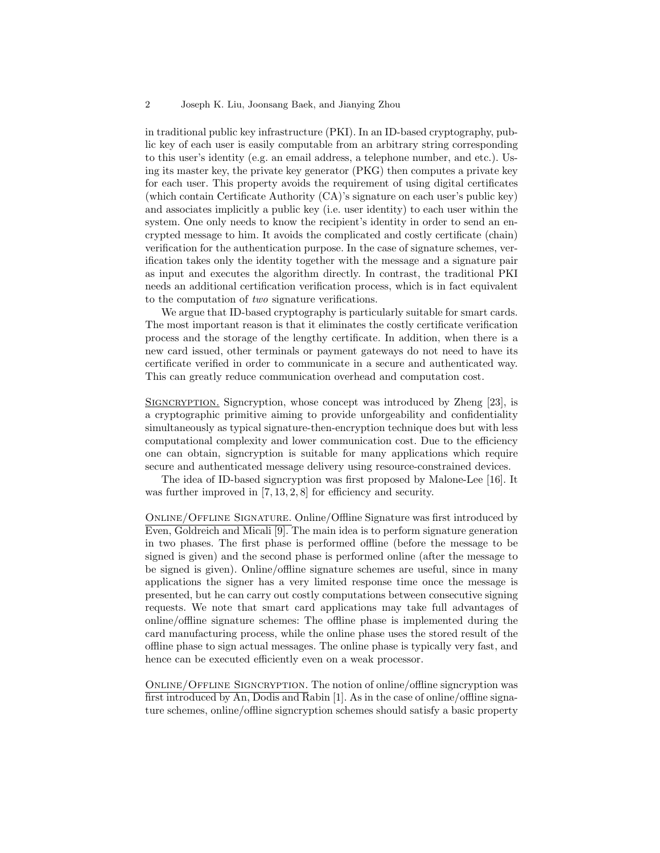in traditional public key infrastructure (PKI). In an ID-based cryptography, public key of each user is easily computable from an arbitrary string corresponding to this user's identity (e.g. an email address, a telephone number, and etc.). Using its master key, the private key generator (PKG) then computes a private key for each user. This property avoids the requirement of using digital certificates (which contain Certificate Authority (CA)'s signature on each user's public key) and associates implicitly a public key (i.e. user identity) to each user within the system. One only needs to know the recipient's identity in order to send an encrypted message to him. It avoids the complicated and costly certificate (chain) verification for the authentication purpose. In the case of signature schemes, verification takes only the identity together with the message and a signature pair as input and executes the algorithm directly. In contrast, the traditional PKI needs an additional certification verification process, which is in fact equivalent to the computation of two signature verifications.

We argue that ID-based cryptography is particularly suitable for smart cards. The most important reason is that it eliminates the costly certificate verification process and the storage of the lengthy certificate. In addition, when there is a new card issued, other terminals or payment gateways do not need to have its certificate verified in order to communicate in a secure and authenticated way. This can greatly reduce communication overhead and computation cost.

SIGNCRYPTION. Signcryption, whose concept was introduced by Zheng [23], is a cryptographic primitive aiming to provide unforgeability and confidentiality simultaneously as typical signature-then-encryption technique does but with less computational complexity and lower communication cost. Due to the efficiency one can obtain, signcryption is suitable for many applications which require secure and authenticated message delivery using resource-constrained devices.

The idea of ID-based signcryption was first proposed by Malone-Lee [16]. It was further improved in [7, 13, 2, 8] for efficiency and security.

Online/Offline Signature. Online/Offline Signature was first introduced by Even, Goldreich and Micali [9]. The main idea is to perform signature generation in two phases. The first phase is performed offline (before the message to be signed is given) and the second phase is performed online (after the message to be signed is given). Online/offline signature schemes are useful, since in many applications the signer has a very limited response time once the message is presented, but he can carry out costly computations between consecutive signing requests. We note that smart card applications may take full advantages of online/offline signature schemes: The offline phase is implemented during the card manufacturing process, while the online phase uses the stored result of the offline phase to sign actual messages. The online phase is typically very fast, and hence can be executed efficiently even on a weak processor.

Online/Offline Signcryption. The notion of online/offline signcryption was first introduced by An, Dodis and Rabin [1]. As in the case of online/offline signature schemes, online/offline signcryption schemes should satisfy a basic property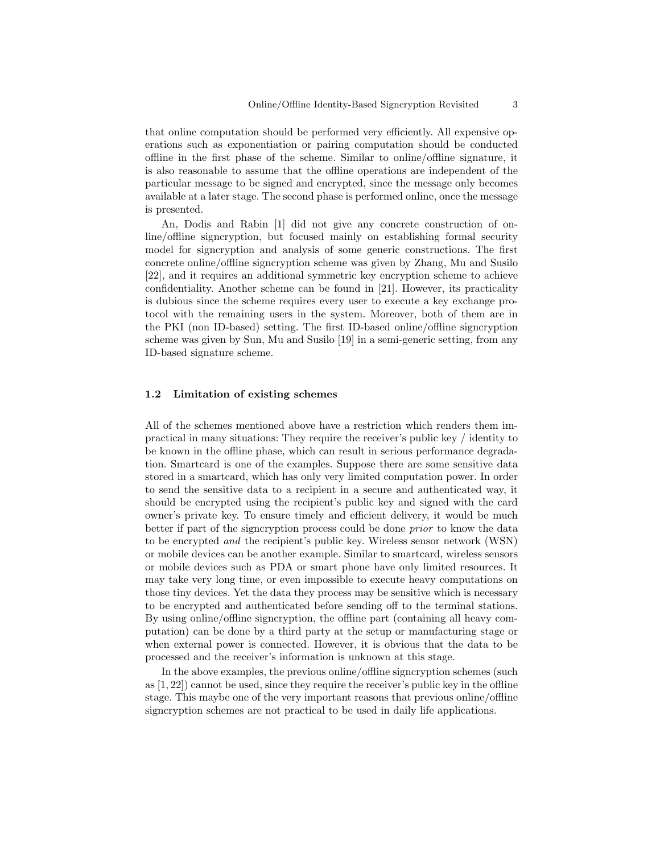that online computation should be performed very efficiently. All expensive operations such as exponentiation or pairing computation should be conducted offline in the first phase of the scheme. Similar to online/offline signature, it is also reasonable to assume that the offline operations are independent of the particular message to be signed and encrypted, since the message only becomes available at a later stage. The second phase is performed online, once the message is presented.

An, Dodis and Rabin [1] did not give any concrete construction of online/offline signcryption, but focused mainly on establishing formal security model for signcryption and analysis of some generic constructions. The first concrete online/offline signcryption scheme was given by Zhang, Mu and Susilo [22], and it requires an additional symmetric key encryption scheme to achieve confidentiality. Another scheme can be found in [21]. However, its practicality is dubious since the scheme requires every user to execute a key exchange protocol with the remaining users in the system. Moreover, both of them are in the PKI (non ID-based) setting. The first ID-based online/offline signcryption scheme was given by Sun, Mu and Susilo [19] in a semi-generic setting, from any ID-based signature scheme.

#### 1.2 Limitation of existing schemes

All of the schemes mentioned above have a restriction which renders them impractical in many situations: They require the receiver's public key / identity to be known in the offline phase, which can result in serious performance degradation. Smartcard is one of the examples. Suppose there are some sensitive data stored in a smartcard, which has only very limited computation power. In order to send the sensitive data to a recipient in a secure and authenticated way, it should be encrypted using the recipient's public key and signed with the card owner's private key. To ensure timely and efficient delivery, it would be much better if part of the signcryption process could be done *prior* to know the data to be encrypted and the recipient's public key. Wireless sensor network (WSN) or mobile devices can be another example. Similar to smartcard, wireless sensors or mobile devices such as PDA or smart phone have only limited resources. It may take very long time, or even impossible to execute heavy computations on those tiny devices. Yet the data they process may be sensitive which is necessary to be encrypted and authenticated before sending off to the terminal stations. By using online/offline signcryption, the offline part (containing all heavy computation) can be done by a third party at the setup or manufacturing stage or when external power is connected. However, it is obvious that the data to be processed and the receiver's information is unknown at this stage.

In the above examples, the previous online/offline signcryption schemes (such as  $(1, 22)$  cannot be used, since they require the receiver's public key in the offline stage. This maybe one of the very important reasons that previous online/offline signcryption schemes are not practical to be used in daily life applications.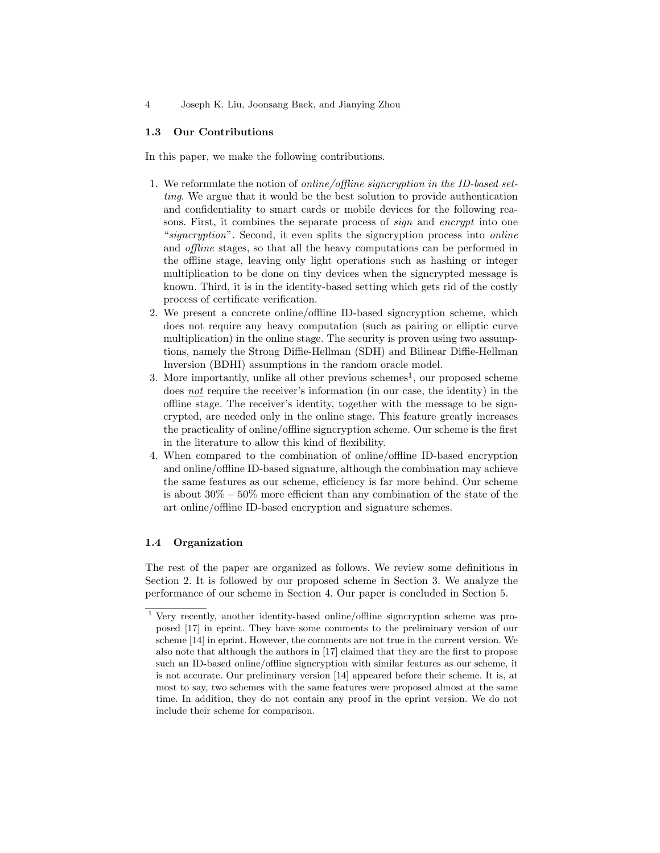#### 1.3 Our Contributions

In this paper, we make the following contributions.

- 1. We reformulate the notion of *online/offline signcryption in the ID-based set*ting. We argue that it would be the best solution to provide authentication and confidentiality to smart cards or mobile devices for the following reasons. First, it combines the separate process of *sign* and encrypt into one "signcryption". Second, it even splits the signcryption process into online and offline stages, so that all the heavy computations can be performed in the offline stage, leaving only light operations such as hashing or integer multiplication to be done on tiny devices when the signcrypted message is known. Third, it is in the identity-based setting which gets rid of the costly process of certificate verification.
- 2. We present a concrete online/offline ID-based signcryption scheme, which does not require any heavy computation (such as pairing or elliptic curve multiplication) in the online stage. The security is proven using two assumptions, namely the Strong Diffie-Hellman (SDH) and Bilinear Diffie-Hellman Inversion (BDHI) assumptions in the random oracle model.
- 3. More importantly, unlike all other previous schemes<sup>1</sup>, our proposed scheme does not require the receiver's information (in our case, the identity) in the offline stage. The receiver's identity, together with the message to be signcrypted, are needed only in the online stage. This feature greatly increases the practicality of online/offline signcryption scheme. Our scheme is the first in the literature to allow this kind of flexibility.
- 4. When compared to the combination of online/offline ID-based encryption and online/offline ID-based signature, although the combination may achieve the same features as our scheme, efficiency is far more behind. Our scheme is about 30% − 50% more efficient than any combination of the state of the art online/offline ID-based encryption and signature schemes.

#### 1.4 Organization

The rest of the paper are organized as follows. We review some definitions in Section 2. It is followed by our proposed scheme in Section 3. We analyze the performance of our scheme in Section 4. Our paper is concluded in Section 5.

<sup>1</sup> Very recently, another identity-based online/offline signcryption scheme was proposed [17] in eprint. They have some comments to the preliminary version of our scheme [14] in eprint. However, the comments are not true in the current version. We also note that although the authors in [17] claimed that they are the first to propose such an ID-based online/offline signcryption with similar features as our scheme, it is not accurate. Our preliminary version [14] appeared before their scheme. It is, at most to say, two schemes with the same features were proposed almost at the same time. In addition, they do not contain any proof in the eprint version. We do not include their scheme for comparison.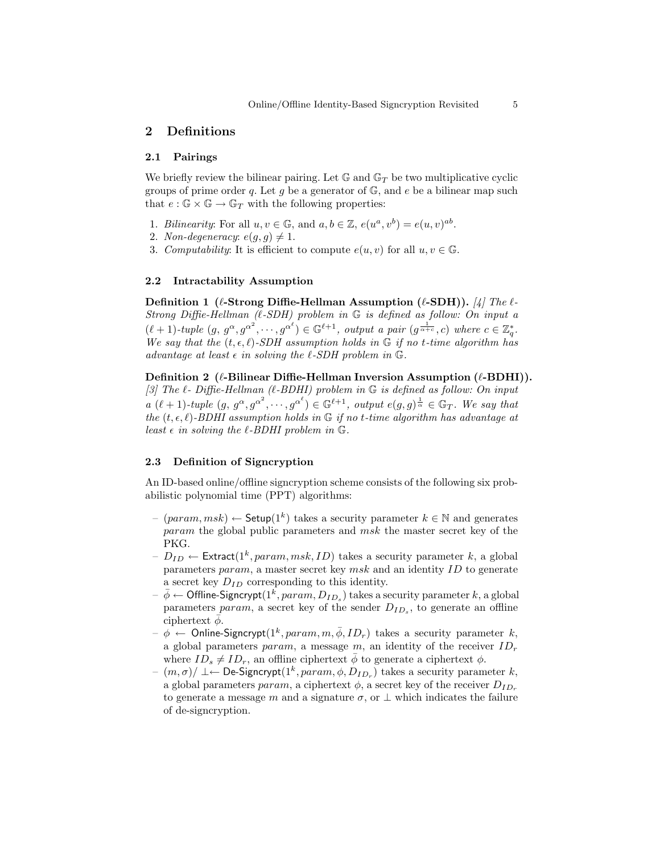## 2 Definitions

#### 2.1 Pairings

We briefly review the bilinear pairing. Let  $\mathbb{G}$  and  $\mathbb{G}_T$  be two multiplicative cyclic groups of prime order q. Let q be a generator of  $\mathbb{G}$ , and e be a bilinear map such that  $e : \mathbb{G} \times \mathbb{G} \to \mathbb{G}_T$  with the following properties:

- 1. Bilinearity: For all  $u, v \in \mathbb{G}$ , and  $a, b \in \mathbb{Z}$ ,  $e(u^a, v^b) = e(u, v)^{ab}$ .
- 2. Non-degeneracy:  $e(g, g) \neq 1$ .
- 3. Computability: It is efficient to compute  $e(u, v)$  for all  $u, v \in \mathbb{G}$ .

#### 2.2 Intractability Assumption

Definition 1 ( $\ell$ -Strong Diffie-Hellman Assumption ( $\ell$ -SDH)). [4] The  $\ell$ -Strong Diffie-Hellman ( $\ell$ -SDH) problem in  $\mathbb G$  is defined as follow: On input a  $(\ell + 1)\text{-tuple } (g, g^{\alpha}, g^{\alpha^2}, \dots, g^{\alpha^{\ell}}) \in \mathbb{G}^{\ell+1}$ , output a pair  $(g^{\frac{1}{\alpha+\epsilon}}, c)$  where  $c \in \mathbb{Z}_q^*$ . We say that the  $(t, \epsilon, \ell)$ -SDH assumption holds in G if no t-time algorithm has advantage at least  $\epsilon$  in solving the  $\ell$ -SDH problem in G.

Definition 2 ( $\ell$ -Bilinear Diffie-Hellman Inversion Assumption ( $\ell$ -BDHI)). [3] The  $\ell$ - Diffie-Hellman ( $\ell$ -BDHI) problem in  $\mathbb G$  is defined as follow: On input  $a \ (\ell + 1)$ -tuple  $(g, g^{\alpha}, g^{\alpha^2}, \dots, g^{\alpha^{\ell}}) \in \mathbb{G}^{\ell+1}$ , output  $e(g, g)^{\frac{1}{\alpha}} \in \mathbb{G}_T$ . We say that the  $(t, \epsilon, \ell)$ -BDHI assumption holds in G if no t-time algorithm has advantage at least  $\epsilon$  in solving the  $\ell$ -BDHI problem in  $\mathbb{G}$ .

#### 2.3 Definition of Signcryption

An ID-based online/offline signcryption scheme consists of the following six probabilistic polynomial time (PPT) algorithms:

- $(-\left( param, msk\right) \leftarrow$  Setup $(1<sup>k</sup>)$  takes a security parameter  $k \in \mathbb{N}$  and generates param the global public parameters and  $msk$  the master secret key of the PKG.
- $-D_{ID} \leftarrow$  Extract(1<sup>k</sup>, param, msk, ID) takes a security parameter k, a global parameters param, a master secret key msk and an identity ID to generate a secret key  $D_{ID}$  corresponding to this identity.
- $-\bar{\phi} \leftarrow$  Offline-Signcrypt $(1^k, param, D_{ID_s})$  takes a security parameter k, a global parameters *param*, a secret key of the sender  $D_{ID_s}$ , to generate an offline ciphertext  $\phi$ .
- $\bar{\phi} \leftarrow 0$ nline-Signcrypt $(1^k, param, m, \bar{\phi}, ID_r)$  takes a security parameter k, a global parameters param, a message m, an identity of the receiver  $ID<sub>r</sub>$ where  $ID_s \neq ID_r$ , an offline ciphertext  $\overline{\phi}$  to generate a ciphertext  $\phi$ .
- $(m,\sigma)/\perp\leftarrow$  De-Signcrypt $(1^k, param, \phi, D_{ID_r})$  takes a security parameter k, a global parameters param, a ciphertext  $\phi$ , a secret key of the receiver  $D_{ID_r}$ to generate a message m and a signature  $\sigma$ , or  $\perp$  which indicates the failure of de-signcryption.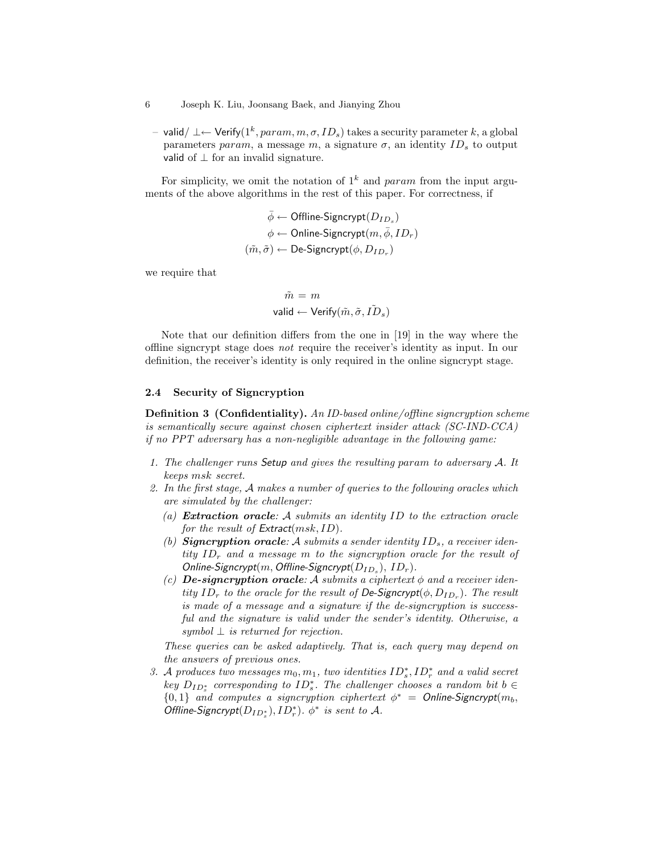$−$  valid/  $\bot$ ← Verify $(1^k, param, m, \sigma, ID_s)$  takes a security parameter  $k$ , a global parameters param, a message m, a signature  $\sigma$ , an identity  $ID<sub>s</sub>$  to output valid of  $\perp$  for an invalid signature.

For simplicity, we omit the notation of  $1^k$  and param from the input arguments of the above algorithms in the rest of this paper. For correctness, if

$$
\bar{\phi} \leftarrow \text{Offline-Signcrypt}(D_{ID_s})
$$
\n
$$
\phi \leftarrow \text{Online-Signcrypt}(m, \bar{\phi}, ID_r)
$$
\n
$$
(\tilde{m}, \tilde{\sigma}) \leftarrow \text{De-Signcrypt}(\phi, D_{ID_r})
$$

we require that

 $\tilde{m} = m$ valid  $\leftarrow$  Verify $(\tilde{m},\tilde{\sigma},\tilde{ID_s})$ 

Note that our definition differs from the one in [19] in the way where the offline signcrypt stage does not require the receiver's identity as input. In our definition, the receiver's identity is only required in the online signcrypt stage.

#### 2.4 Security of Signcryption

Definition 3 (Confidentiality). An ID-based online/offline signcryption scheme is semantically secure against chosen ciphertext insider attack (SC-IND-CCA) if no PPT adversary has a non-negligible advantage in the following game:

- 1. The challenger runs Setup and gives the resulting param to adversary A. It keeps msk secret.
- 2. In the first stage, A makes a number of queries to the following oracles which are simulated by the challenger:
	- (a) **Extraction oracle:** A submits an identity  $ID$  to the extraction oracle for the result of  $Extract(msk, ID)$ .
	- (b) **Signcryption oracle:** A submits a sender identity  $ID_s$ , a receiver identity  $ID<sub>r</sub>$  and a message m to the signcryption oracle for the result of Online-Signcrypt $(m,$  Offline-Signcrypt $(D_{ID_s}),$   $ID_r$ ).
	- (c) **De-signcryption oracle:** A submits a ciphertext  $\phi$  and a receiver identity  $ID_r$  to the oracle for the result of  $De-Signcrypt(\phi, D_{ID_r})$ . The result is made of a message and a signature if the de-signcryption is successful and the signature is valid under the sender's identity. Otherwise, a symbol  $\perp$  is returned for rejection.

These queries can be asked adaptively. That is, each query may depend on the answers of previous ones.

3. A produces two messages  $m_0, m_1$ , two identities  $ID_s^*$ ,  $ID_r^*$  and a valid secret  $key\ D_{ID_s^*}$  corresponding to  $ID_s^*$ . The challenger chooses a random bit  $b \in$  ${0,1}$  and computes a signcryption ciphertext  $\phi^* =$  Online-Signcrypt $(m_b,$ Offline-Signcrypt $(D_{ID_s^*}), ID_r^*$ ).  $\phi^*$  is sent to A.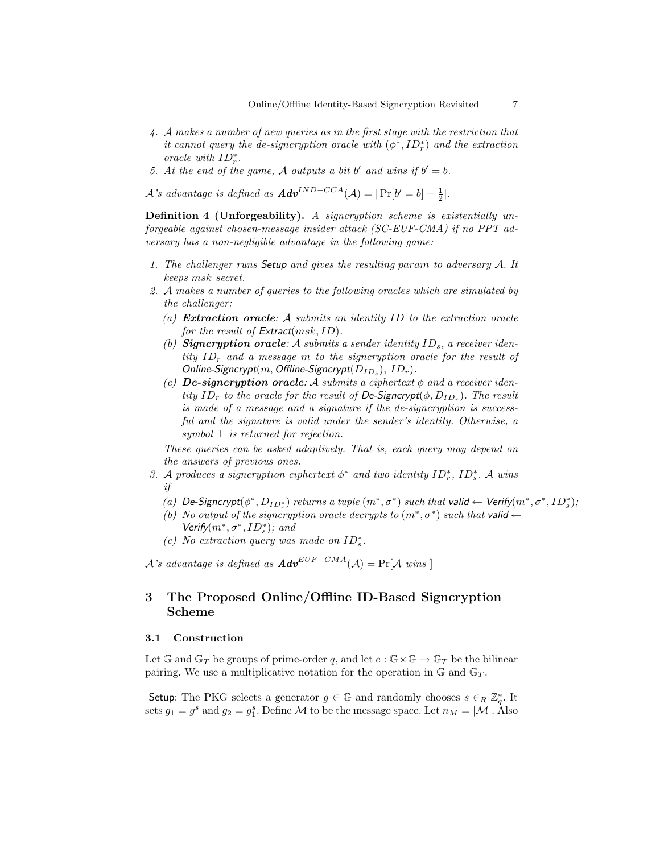- 4. A makes a number of new queries as in the first stage with the restriction that it cannot query the de-signcryption oracle with  $(\phi^*,ID_r^*)$  and the extraction oracle with  $ID^*_r$ .
- 5. At the end of the game, A outputs a bit b' and wins if  $b' = b$ .

 $\mathcal{A}$ 's advantage is defined as  $\boldsymbol{Adv}^{IND-CCA}(\mathcal{A})=|\Pr[b'=b]-\frac{1}{2}|.$ 

**Definition 4 (Unforgeability).** A signcryption scheme is existentially unforgeable against chosen-message insider attack (SC-EUF-CMA) if no PPT adversary has a non-negligible advantage in the following game:

- 1. The challenger runs Setup and gives the resulting param to adversary A. It keeps msk secret.
- 2. A makes a number of queries to the following oracles which are simulated by the challenger:
	- (a) **Extraction oracle:** A submits an identity ID to the extraction oracle for the result of  $Extract(msk, ID)$ .
	- (b) **Signcryption oracle:** A submits a sender identity  $ID_s$ , a receiver identity  $ID<sub>r</sub>$  and a message m to the signcryption oracle for the result of Online-Signcrypt $(m,$  Offline-Signcrypt $(D_{ID_s}),$   $ID_r$ ).
	- (c) **De-signcryption oracle:** A submits a ciphertext  $\phi$  and a receiver identity  $ID_r$  to the oracle for the result of  $De-Signcrypt(\phi, D_{ID_r})$ . The result is made of a message and a signature if the de-signcryption is successful and the signature is valid under the sender's identity. Otherwise, a symbol  $\perp$  is returned for rejection.

These queries can be asked adaptively. That is, each query may depend on the answers of previous ones.

- 3. A produces a signcryption ciphertext  $\phi^*$  and two identity  $ID^*_r$ ,  $ID^*_s$ . A wins if
	- (a) De-Signcrypt $(\phi^*, D_{ID_r^*})$  returns a tuple  $(m^*, \sigma^*)$  such that valid  $\leftarrow$  Verify $(m^*, \sigma^*, ID_s^*);$
	- (b) No output of the signcryption oracle decrypts to  $(m^*, \sigma^*)$  such that valid  $\leftarrow$ Verify $(m^*, \sigma^*, ID_s^*)$ ; and
	- (c) No extraction query was made on  $ID_s^*$ .

A's advantage is defined as  $\boldsymbol{Adv}^{EUF-CMA}(\mathcal{A}) = \Pr[\mathcal{A} \text{ wins}]$ 

# 3 The Proposed Online/Offline ID-Based Signcryption Scheme

#### 3.1 Construction

Let G and  $\mathbb{G}_T$  be groups of prime-order q, and let  $e : \mathbb{G} \times \mathbb{G} \to \mathbb{G}_T$  be the bilinear pairing. We use a multiplicative notation for the operation in  $\mathbb{G}$  and  $\mathbb{G}_T$ .

Setup: The PKG selects a generator  $g \in \mathbb{G}$  and randomly chooses  $s \in_R \mathbb{Z}_q^*$ . It  $\overline{\text{sets }g_1} = g^s \text{ and } g_2 = g_1^s.$  Define M to be the message space. Let  $n_M = |\mathcal{M}|$ . Also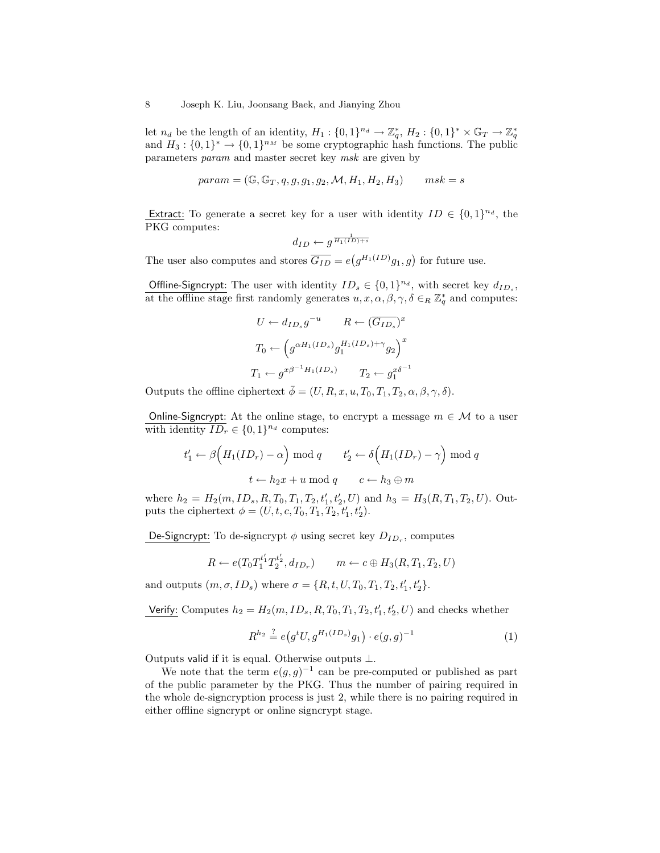let  $n_d$  be the length of an identity,  $H_1: \{0,1\}^{n_d} \to \mathbb{Z}_q^*, H_2: \{0,1\}^* \times \mathbb{G}_T \to \mathbb{Z}_q^*$ and  $H_3: \{0,1\}^* \to \{0,1\}^{n_M}$  be some cryptographic hash functions. The public parameters param and master secret key msk are given by

$$
param = (\mathbb{G}, \mathbb{G}_T, q, g, g_1, g_2, \mathcal{M}, H_1, H_2, H_3) \qquad msk = s
$$

Extract: To generate a secret key for a user with identity  $ID \in \{0,1\}^{n_d}$ , the PKG computes:

$$
d_{ID} \leftarrow g^{\frac{1}{H_1(ID)+s}}
$$

The user also computes and stores  $\overline{G_{ID}} = e(g^{H_1(ID)}g_1, g)$  for future use.

Offline-Signcrypt: The user with identity  $ID_s \in \{0,1\}^{n_d}$ , with secret key  $d_{ID_s}$ , at the offline stage first randomly generates  $u, x, \alpha, \beta, \gamma, \delta \in_R \mathbb{Z}_q^*$  and computes:

$$
U \leftarrow d_{ID_s} g^{-u} \qquad R \leftarrow (\overline{G_{ID_s}})^x
$$

$$
T_0 \leftarrow \left( g^{\alpha H_1(ID_s)} g_1^{H_1(ID_s) + \gamma} g_2 \right)^x
$$

$$
T_1 \leftarrow g^{x\beta^{-1}H_1(ID_s)} \qquad T_2 \leftarrow g_1^{x\delta^{-1}}
$$

Outputs the offline ciphertext  $\bar{\phi} = (U, R, x, u, T_0, T_1, T_2, \alpha, \beta, \gamma, \delta).$ 

Online-Signcrypt: At the online stage, to encrypt a message  $m \in \mathcal{M}$  to a user with identity  $ID_r \in \{0,1\}^{n_d}$  computes:

$$
t'_1 \leftarrow \beta \Big( H_1(ID_r) - \alpha \Big) \bmod q \qquad t'_2 \leftarrow \delta \Big( H_1(ID_r) - \gamma \Big) \bmod q
$$

$$
t \leftarrow h_2 x + u \bmod q \qquad c \leftarrow h_3 \oplus m
$$

where  $h_2 = H_2(m, ID_s, R, T_0, T_1, T_2, t'_1, t'_2, U)$  and  $h_3 = H_3(R, T_1, T_2, U)$ . Outputs the ciphertext  $\phi = (U, t, c, T_0, T_1, T_2, t_1', t_2').$ 

De-Signcrypt: To de-signcrypt  $\phi$  using secret key  $D_{ID_r}$ , computes

$$
R \leftarrow e(T_0 T_1^{t'_1} T_2^{t'_2}, d_{ID_r}) \qquad m \leftarrow c \oplus H_3(R, T_1, T_2, U)
$$

and outputs  $(m, \sigma, ID_s)$  where  $\sigma = \{R, t, U, T_0, T_1, T_2, t_1', t_2'\}.$ 

Verify: Computes  $h_2 = H_2(m, ID_s, R, T_0, T_1, T_2, t_1', t_2', U)$  and checks whether

$$
R^{h_2} \stackrel{?}{=} e(g^t U, g^{H_1(ID_s)}g_1) \cdot e(g, g)^{-1}
$$
 (1)

Outputs valid if it is equal. Otherwise outputs ⊥.

We note that the term  $e(g, g)^{-1}$  can be pre-computed or published as part of the public parameter by the PKG. Thus the number of pairing required in the whole de-signcryption process is just 2, while there is no pairing required in either offline signcrypt or online signcrypt stage.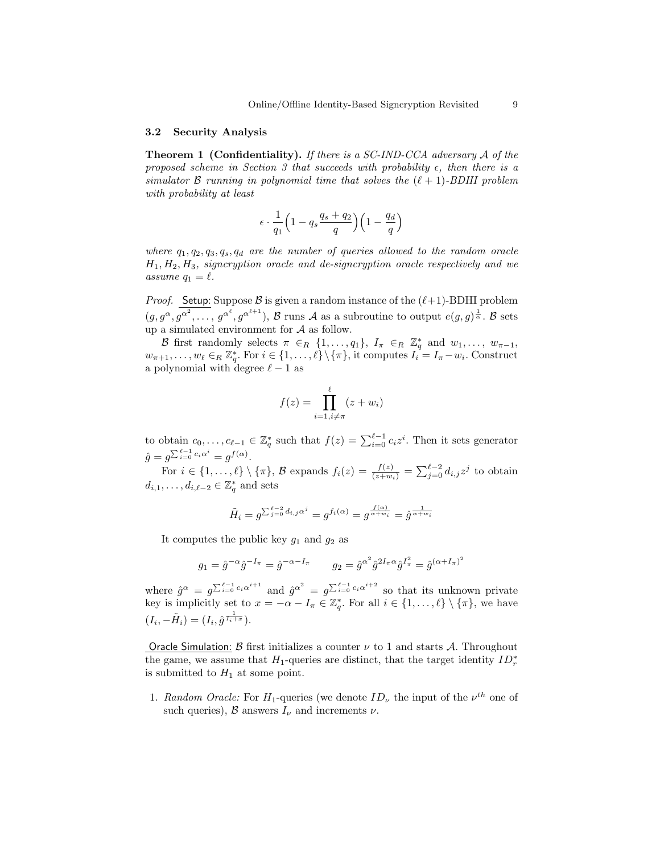#### 3.2 Security Analysis

**Theorem 1 (Confidentiality).** If there is a SC-IND-CCA adversary  $A$  of the proposed scheme in Section 3 that succeeds with probability  $\epsilon$ , then there is a simulator B running in polynomial time that solves the  $(\ell + 1)$ -BDHI problem with probability at least

$$
\epsilon \cdot \frac{1}{q_1} \left( 1 - q_s \frac{q_s + q_2}{q} \right) \left( 1 - \frac{q_d}{q} \right)
$$

where  $q_1, q_2, q_3, q_s, q_d$  are the number of queries allowed to the random oracle  $H_1, H_2, H_3$ , signcryption oracle and de-signcryption oracle respectively and we assume  $q_1 = \ell$ .

*Proof.* Setup: Suppose  $\beta$  is given a random instance of the  $(\ell+1)$ -BDHI problem  $(g, g^{\alpha}, g^{\alpha^2}, \ldots, g^{\alpha^{\ell}}, g^{\alpha^{\ell+1}}), \mathcal{B}$  runs A as a subroutine to output  $e(g, g)^{\frac{1}{\alpha}}$ . B sets up a simulated environment for  $A$  as follow.

B first randomly selects  $\pi \in_R \{1,\ldots,q_1\}$ ,  $I_{\pi} \in_R \mathbb{Z}_q^*$  and  $w_1,\ldots, w_{\pi-1}$ ,  $w_{\pi+1},\ldots,w_{\ell}\in_R\mathbb{Z}_q^*$ . For  $i\in\{1,\ldots,\ell\}\setminus\{\pi\}$ , it computes  $I_i = I_{\pi}-w_i$ . Construct a polynomial with degree  $\ell - 1$  as

$$
f(z) = \prod_{i=1, i \neq \pi}^{\ell} (z + w_i)
$$

to obtain  $c_0, \ldots, c_{\ell-1} \in \mathbb{Z}_q^*$  such that  $f(z) = \sum_{i=0}^{\ell-1} c_i z^i$ . Then it sets generator  $\hat{g} = g^{\sum_{i=0}^{\ell-1} c_i \alpha^i} = g^{f(\alpha)}.$ 

For  $i \in \{1,\ldots,\ell\} \setminus \{\pi\}$ , B expands  $f_i(z) = \frac{f(z)}{(z+w_i)} = \sum_{j=0}^{\ell-2} d_{i,j} z^j$  to obtain  $d_{i,1}, \ldots, d_{i,\ell-2} \in \mathbb{Z}_q^*$  and sets

$$
\tilde{H}_i=g^{\sum_{j=0}^{\ell-2}d_{i,j}\alpha^j}=g^{f_i(\alpha)}=g^{\frac{f(\alpha)}{\alpha+w_i}}=\hat{g}^{\frac{1}{\alpha+w_i}}
$$

It computes the public key  $g_1$  and  $g_2$  as

$$
g_1 = \hat{g}^{-\alpha} \hat{g}^{-I_{\pi}} = \hat{g}^{-\alpha - I_{\pi}}
$$
  $g_2 = \hat{g}^{\alpha^2} \hat{g}^{2I_{\pi}\alpha} \hat{g}^{I_{\pi}^2} = \hat{g}^{(\alpha + I_{\pi})^2}$ 

where  $\hat{g}^{\alpha} = g^{\sum_{i=0}^{\ell-1} c_i \alpha^{i+1}}$  and  $\hat{g}^{\alpha^2} = g^{\sum_{i=0}^{\ell-1} c_i \alpha^{i+2}}$  so that its unknown private key is implicitly set to  $x = -\alpha - I_{\pi} \in \mathbb{Z}_q^*$ . For all  $i \in \{1, \ldots, \ell\} \setminus \{\pi\}$ , we have  $(I_i, -\tilde{H}_i) = (I_i, \hat{g}^{\frac{1}{I_i+x}}).$ 

Oracle Simulation:  $\beta$  first initializes a counter  $\nu$  to 1 and starts A. Throughout the game, we assume that  $H_1$ -queries are distinct, that the target identity  $ID_r^*$ is submitted to  $H_1$  at some point.

1. Random Oracle: For  $H_1$ -queries (we denote  $ID_\nu$  the input of the  $\nu^{th}$  one of such queries),  $\beta$  answers  $I_{\nu}$  and increments  $\nu$ .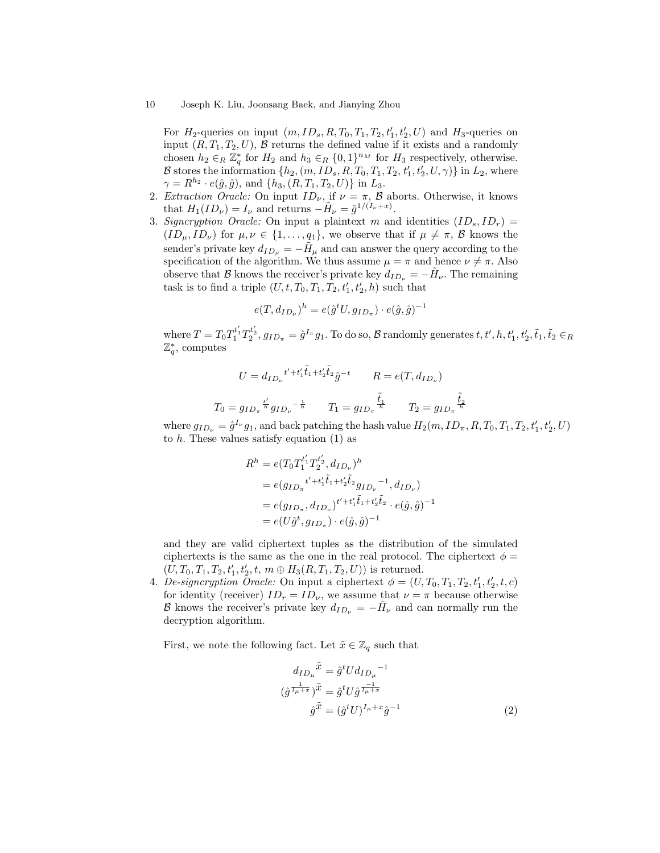For  $H_2$ -queries on input  $(m, ID_s, R, T_0, T_1, T_2, t'_1, t'_2, U)$  and  $H_3$ -queries on input  $(R, T_1, T_2, U)$ ,  $\beta$  returns the defined value if it exists and a randomly chosen  $h_2 \in_R \mathbb{Z}_q^*$  for  $H_2$  and  $h_3 \in_R \{0,1\}^{n_M}$  for  $H_3$  respectively, otherwise. B stores the information  $\{h_2, (m, ID_s, R, T_0, T_1, T_2, t_1', t_2', U, \gamma)\}\$  in  $L_2$ , where  $\gamma = R^{h_2} \cdot e(\hat{g}, \hat{g}),$  and  $\{h_3, (R, T_1, T_2, U)\}\$ in  $L_3$ .

- 2. Extraction Oracle: On input  $ID_{\nu}$ , if  $\nu = \pi$ ,  $\beta$  aborts. Otherwise, it knows that  $H_1(ID_\nu) = I_\nu$  and returns  $-\tilde{H}_\nu = \hat{g}^{1/(I_\nu + x)}$ .
- 3. Signcryption Oracle: On input a plaintext m and identities  $(ID_s, ID_r)$  =  $(ID_{\mu}, ID_{\nu})$  for  $\mu, \nu \in \{1, ..., q_1\}$ , we observe that if  $\mu \neq \pi$ ,  $\mathcal{B}$  knows the sender's private key  $d_{ID_\mu} = -\tilde{H}_\mu$  and can answer the query according to the specification of the algorithm. We thus assume  $\mu = \pi$  and hence  $\nu \neq \pi$ . Also observe that B knows the receiver's private key  $d_{ID_{\nu}} = -\tilde{H}_{\nu}$ . The remaining task is to find a triple  $(U, t, T_0, T_1, T_2, t_1', t_2', h)$  such that

$$
e(T, d_{ID_{\nu}})^h = e(\hat{g}^t U, g_{ID_{\pi}}) \cdot e(\hat{g}, \hat{g})^{-1}
$$

where  $T = T_0 T_1^{t'_1} T_2^{t'_2}$ ,  $g_{ID_\pi} = \hat{g}^{I_\pi} g_1$ . To do so,  $\mathcal B$  randomly generates  $t, t', h, t'_1, t'_2, \tilde{t}_1, \tilde{t}_2 \in_R$  $\mathbb{Z}_q^*$ , computes

$$
U = d_{ID_{\nu}}{}^{t'} + t_1' \tilde{t}_1 + t_2' \tilde{t}_2 \hat{g}^{-t} \qquad R = e(T, d_{ID_{\nu}})
$$
  

$$
T_0 = g_{ID_{\pi}}{}^{t'} g_{ID_{\nu}}{}^{-\frac{1}{h}} \qquad T_1 = g_{ID_{\pi}}{}^{\frac{\tilde{t}_1}{h}} \qquad T_2 = g_{ID_{\pi}}{}^{\frac{\tilde{t}_2}{h}}
$$

where  $g_{ID_{\nu}} = \hat{g}^{I_{\nu}} g_1$ , and back patching the hash value  $H_2(m, ID_{\pi}, R, T_0, T_1, T_2, t_1', t_2', U)$ to  $h$ . These values satisfy equation  $(1)$  as

$$
R^{h} = e(T_0 T_1^{t'_1} T_2^{t'_2}, d_{ID_{\nu}})^h
$$
  
=  $e(g_{ID_{\pi}}^{t' + t'_1} \tilde{t}_{1} + t'_2 \tilde{t}_{2} g_{ID_{\nu}}^{-1}, d_{ID_{\nu}})$   
=  $e(g_{ID_{\pi}}, d_{ID_{\nu}})^{t' + t'_1} \tilde{t}_{1} + t'_2 \tilde{t}_{2} \cdot e(\hat{g}, \hat{g})^{-1}$   
=  $e(U\hat{g}^{t}, g_{ID_{\pi}}) \cdot e(\hat{g}, \hat{g})^{-1}$ 

and they are valid ciphertext tuples as the distribution of the simulated ciphertexts is the same as the one in the real protocol. The ciphertext  $\phi =$  $(U, T_0, T_1, T_2, t'_1, t'_2, t, m \oplus H_3(R, T_1, T_2, U))$  is returned.

4. De-signcryption Oracle: On input a ciphertext  $\phi = (U, T_0, T_1, T_2, t'_1, t'_2, t, c)$ for identity (receiver)  $ID_r = ID_\nu$ , we assume that  $\nu = \pi$  because otherwise B knows the receiver's private key  $d_{ID_{\nu}} = -\tilde{H}_{\nu}$  and can normally run the decryption algorithm.

First, we note the following fact. Let  $\tilde{x} \in \mathbb{Z}_q$  such that

$$
d_{ID_{\mu}}\tilde{x} = \hat{g}^{t}Ud_{ID_{\mu}}^{-1}
$$

$$
(\hat{g}^{\frac{1}{I_{\mu}+x}})^{\tilde{x}} = \hat{g}^{t}U\hat{g}^{\frac{-1}{I_{\mu}+x}}
$$

$$
\hat{g}^{\tilde{x}} = (\hat{g}^{t}U)^{I_{\mu}+x}\hat{g}^{-1}
$$
(2)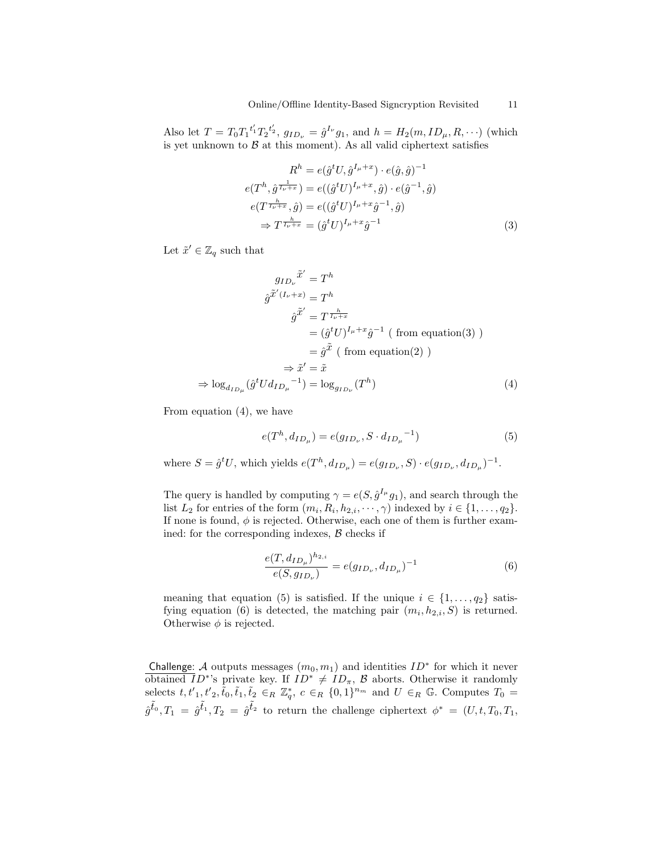Also let  $T = T_0 T_1^{t'_1} T_2^{t'_2}$ ,  $g_{ID_\nu} = \hat{g}^{I_\nu} g_1$ , and  $h = H_2(m, ID_\mu, R, \cdots)$  (which is yet unknown to  $\beta$  at this moment). As all valid ciphertext satisfies

$$
R^{h} = e(\hat{g}^{t}U, \hat{g}^{I_{\mu}+x}) \cdot e(\hat{g}, \hat{g})^{-1}
$$
  
\n
$$
e(T^{h}, \hat{g}^{\frac{1}{I_{\nu}+x}}) = e((\hat{g}^{t}U)^{I_{\mu}+x}, \hat{g}) \cdot e(\hat{g}^{-1}, \hat{g})
$$
  
\n
$$
e(T^{\frac{h}{I_{\nu}+x}}, \hat{g}) = e((\hat{g}^{t}U)^{I_{\mu}+x}\hat{g}^{-1}, \hat{g})
$$
  
\n
$$
\Rightarrow T^{\frac{h}{I_{\nu}+x}} = (\hat{g}^{t}U)^{I_{\mu}+x}\hat{g}^{-1}
$$
\n(3)

Let  $\tilde{x}' \in \mathbb{Z}_q$  such that

$$
g_{ID_{\nu}}\tilde{x}' = T^h
$$
  
\n
$$
\hat{g}\tilde{x}'^{(L_{\nu}+x)} = T^h
$$
  
\n
$$
\hat{g}\tilde{x}' = T^{\frac{h}{L_{\nu}+x}}
$$
  
\n
$$
= (\hat{g}^t U)^{L_{\mu}+x} \hat{g}^{-1} \text{ (from equation(3))}
$$
  
\n
$$
= \hat{g}\tilde{x} \text{ (from equation(2))}
$$
  
\n
$$
\Rightarrow \tilde{x}' = \tilde{x}
$$
  
\n
$$
\Rightarrow \log_{d_{ID_{\mu}}}(\hat{g}^t U d_{ID_{\mu}}^{-1}) = \log_{g_{ID_{\nu}}}(T^h) \tag{4}
$$

From equation (4), we have

$$
e(T^h, d_{ID_\mu}) = e(g_{ID_\nu}, S \cdot d_{ID_\mu}^{-1})
$$
\n(5)

where  $S = \hat{g}^t U$ , which yields  $e(T^h, d_{ID_\mu}) = e(g_{ID_\nu}, S) \cdot e(g_{ID_\nu}, d_{ID_\mu})^{-1}$ .

The query is handled by computing  $\gamma = e(S, \hat{g}^{I_{\mu}} g_1)$ , and search through the list  $L_2$  for entries of the form  $(m_i, R_i, h_{2,i}, \dots, \gamma)$  indexed by  $i \in \{1, \dots, q_2\}$ . If none is found,  $\phi$  is rejected. Otherwise, each one of them is further examined: for the corresponding indexes,  $\beta$  checks if

$$
\frac{e(T, d_{ID_{\mu}})^{h_{2,i}}}{e(S, g_{ID_{\nu}})} = e(g_{ID_{\nu}}, d_{ID_{\mu}})^{-1}
$$
(6)

meaning that equation (5) is satisfied. If the unique  $i \in \{1, \ldots, q_2\}$  satisfying equation (6) is detected, the matching pair  $(m_i, h_{2,i}, S)$  is returned. Otherwise  $\phi$  is rejected.

Challenge: A outputs messages  $(m_0, m_1)$  and identities  $ID^*$  for which it never  $\overline{\text{obtained}} \overline{ID}^*$ 's private key. If  $ID^* ≠ ID_\pi$ , *B* aborts. Otherwise it randomly selects  $t, t'_1, t'_2, \tilde{t}_0, \tilde{t}_1, \tilde{t}_2 \in_R \mathbb{Z}_q^*, c \in_R \{0,1\}^{n_m}$  and  $U \in_R \mathbb{G}$ . Computes  $T_0 =$  $\hat{g}^{\tilde{t}_0}, T_1 = \hat{g}^{\tilde{t}_1}, T_2 = \hat{g}^{\tilde{t}_2}$  to return the challenge ciphertext  $\phi^* = (U, t, T_0, T_1, T_2)$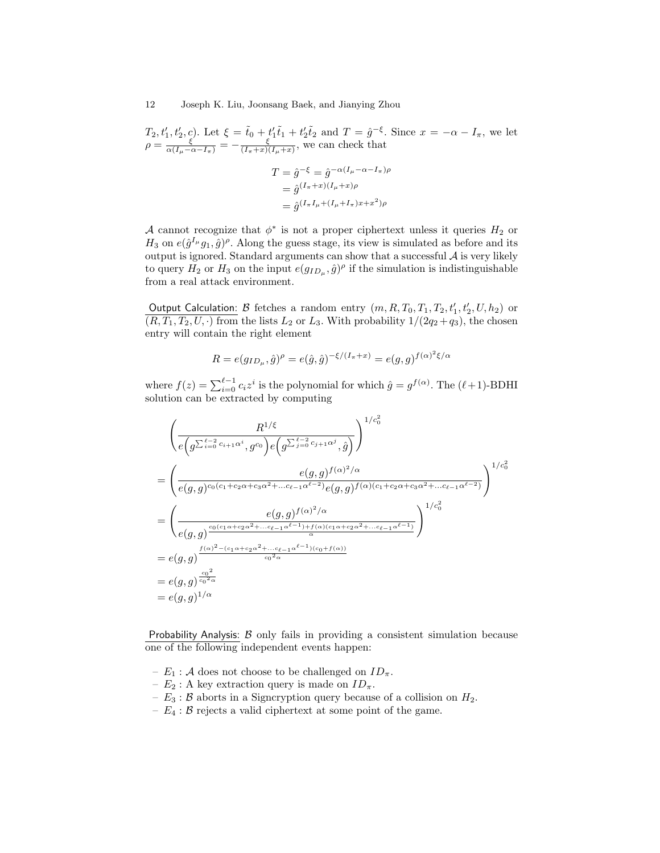$T_2, t'_1, t'_2, c$ . Let  $\xi = \tilde{t}_0 + t'_1 \tilde{t}_1 + t'_2 \tilde{t}_2$  and  $T = \hat{g}^{-\xi}$ . Since  $x = -\alpha - I_{\pi}$ , we let  $\rho = \frac{\xi}{\alpha(I_\mu - \alpha - I_\pi)} = -\frac{\xi}{(I_\pi + x)(I_\mu + x)}$ , we can check that

$$
T = \hat{g}^{-\xi} = \hat{g}^{-\alpha(I_{\mu}-\alpha-I_{\pi})\rho}
$$
  
=  $\hat{g}^{(I_{\pi}+x)(I_{\mu}+x)\rho}$   
=  $\hat{g}^{(I_{\pi}I_{\mu}+(I_{\mu}+I_{\pi})x+x^2)\rho}$ 

A cannot recognize that  $\phi^*$  is not a proper ciphertext unless it queries  $H_2$  or  $H_3$  on  $e(\hat{g}^{I_\mu}g_1, \hat{g})^{\rho}$ . Along the guess stage, its view is simulated as before and its output is ignored. Standard arguments can show that a successful  $A$  is very likely to query  $H_2$  or  $H_3$  on the input  $e(g_{ID_\mu}, \hat{g})^{\rho}$  if the simulation is indistinguishable from a real attack environment.

Output Calculation:  $\mathcal B$  fetches a random entry  $(m, R, T_0, T_1, T_2, t_1', t_2', U, h_2)$  or  $\overline{(R, T_1, T_2, U, \cdot)}$  from the lists  $L_2$  or  $L_3$ . With probability  $1/(2q_2 + q_3)$ , the chosen entry will contain the right element

$$
R = e(g_{ID_{\mu}}, \hat{g})^{\rho} = e(\hat{g}, \hat{g})^{-\xi/(I_{\pi}+x)} = e(g, g)^{f(\alpha)^{2}\xi/\alpha}
$$

where  $f(z) = \sum_{i=0}^{\ell-1} c_i z^i$  is the polynomial for which  $\hat{g} = g^{f(\alpha)}$ . The  $(\ell+1)$ -BDHI solution can be extracted by computing

$$
\begin{split}\n&\left(\frac{R^{1/\xi}}{e\left(g^{\sum_{i=0}^{\ell-2}c_{i+1}\alpha^{i}},g^{c_{0}}\right)e\left(g^{\sum_{j=0}^{\ell-2}c_{j+1}\alpha^{j}},\hat{g}\right)}\right)^{1/c_{0}^{2}} \\
&=\left(\frac{e(g,g)^{f(\alpha)^{2}/\alpha}}{e(g,g)^{c_{0}(c_{1}+c_{2}\alpha+c_{3}\alpha^{2}+\ldots c_{\ell-1}\alpha^{\ell-2})}e(g,g)^{f(\alpha)(c_{1}+c_{2}\alpha+c_{3}\alpha^{2}+\ldots c_{\ell-1}\alpha^{\ell-2})}\right)^{1/c_{0}^{2}} \\
&=\left(\frac{e(g,g)^{f(\alpha)^{2}/\alpha}}{e(g,g)^{\frac{c_{0}(c_{1}\alpha+c_{2}\alpha^{2}+\ldots c_{\ell-1}\alpha^{\ell-1})+f(\alpha)(c_{1}\alpha+c_{2}\alpha^{2}+\ldots c_{\ell-1}\alpha^{\ell-1})}{\alpha}}\right)^{1/c_{0}^{2}} \\
&=e(g,g)^{\frac{f(\alpha)^{2}-(c_{1}\alpha+c_{2}\alpha^{2}+\ldots c_{\ell-1}\alpha^{\ell-1})(c_{0}+f(\alpha))}{c_{0}^{2}\alpha}} \\
&=e(g,g)^{\frac{c_{0}^{2}}{c_{0}^{2}}}\n&=e(g,g)^{1/\alpha}\n\end{split}
$$

Probability Analysis:  $\beta$  only fails in providing a consistent simulation because one of the following independent events happen:

- $E_1$ : A does not choose to be challenged on  $ID_{\pi}$ .
- $E_2$ : A key extraction query is made on  $ID_{\pi}$ .
- $E_3$ :  $\beta$  aborts in a Signcryption query because of a collision on  $H_2$ .
- $E_4$ :  $\beta$  rejects a valid ciphertext at some point of the game.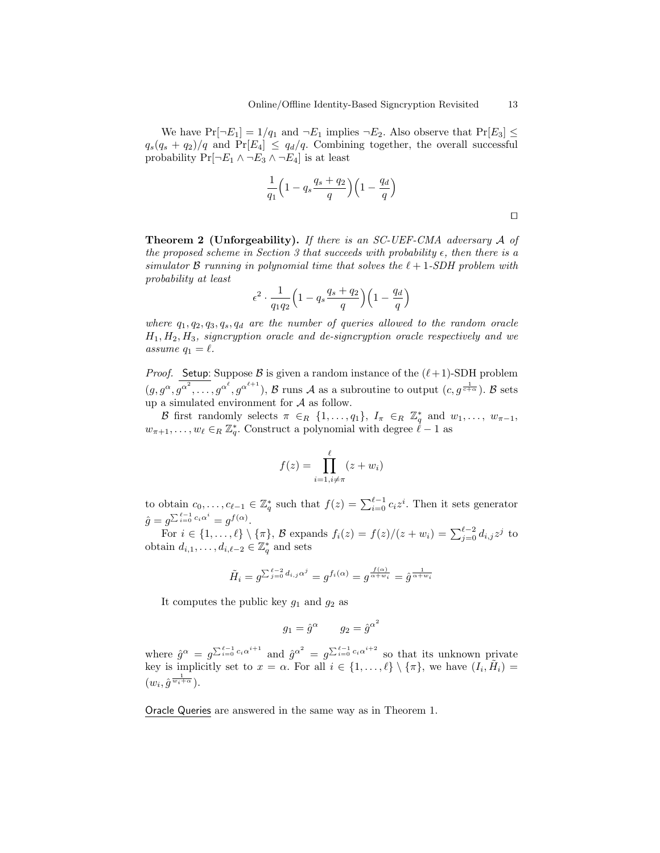We have  $Pr[\neg E_1] = 1/q_1$  and  $\neg E_1$  implies  $\neg E_2$ . Also observe that  $Pr[E_3] \leq$  $q_s(q_s + q_2)/q$  and  $Pr[E_4] \leq q_d/q$ . Combining together, the overall successful probability  $Pr[\neg E_1 \land \neg E_3 \land \neg E_4]$  is at least

$$
\frac{1}{q_1}\Big(1-q_s\frac{q_s+q_2}{q}\Big)\Big(1-\frac{q_d}{q}\Big)
$$

Theorem 2 (Unforgeability). If there is an SC-UEF-CMA adversary A of the proposed scheme in Section 3 that succeeds with probability  $\epsilon$ , then there is a simulator  $\beta$  running in polynomial time that solves the  $\ell + 1$ -SDH problem with probability at least

$$
\epsilon^2 \cdot \frac{1}{q_1q_2}\Big(1-q_s\frac{q_s+q_2}{q}\Big)\Big(1-\frac{q_d}{q}\Big)
$$

where  $q_1, q_2, q_3, q_s, q_d$  are the number of queries allowed to the random oracle  $H_1, H_2, H_3$ , signcryption oracle and de-signcryption oracle respectively and we assume  $q_1 = \ell$ .

*Proof.* Setup: Suppose  $\beta$  is given a random instance of the  $(\ell + 1)$ -SDH problem  $(g, g^{\alpha}, g^{\alpha^2}, \ldots, g^{\alpha^{\ell}}, g^{\alpha^{\ell+1}}), \mathcal{B}$  runs A as a subroutine to output  $(c, g^{\frac{1}{c+\alpha}}).$  B sets up a simulated environment for  $A$  as follow.

B first randomly selects  $\pi \in_R \{1,\ldots,q_1\}$ ,  $I_{\pi} \in_R \mathbb{Z}_q^*$  and  $w_1,\ldots, w_{\pi-1}$ ,  $w_{\pi+1}, \ldots, w_{\ell} \in_R \mathbb{Z}_q^*$ . Construct a polynomial with degree  $\ell-1$  as

$$
f(z) = \prod_{i=1, i \neq \pi}^{\ell} (z + w_i)
$$

to obtain  $c_0, \ldots, c_{\ell-1} \in \mathbb{Z}_q^*$  such that  $f(z) = \sum_{i=0}^{\ell-1} c_i z^i$ . Then it sets generator  $\hat{g} = g^{\sum_{i=0}^{\ell-1} c_i \alpha^i} = g^{f(\alpha)}.$ 

For  $i \in \{1, \ldots, \ell\} \setminus \{\pi\}, \mathcal{B}$  expands  $f_i(z) = f(z)/(z + w_i) = \sum_{j=0}^{\ell-2} d_{i,j} z^j$  to obtain  $d_{i,1}, \ldots, d_{i,\ell-2} \in \mathbb{Z}_q^*$  and sets

$$
\tilde{H}_i = g^{\sum_{j=0}^{\ell-2} d_{i,j}\alpha^j} = g^{f_i(\alpha)} = g^{\frac{f(\alpha)}{\alpha + w_i}} = \hat{g}^{\frac{1}{\alpha + w_i}}
$$

It computes the public key  $g_1$  and  $g_2$  as

$$
g_1 = \hat{g}^\alpha \qquad g_2 = \hat{g}^{\alpha^2}
$$

where  $\hat{g}^{\alpha} = g^{\sum_{i=0}^{\ell-1} c_i \alpha^{i+1}}$  and  $\hat{g}^{\alpha^2} = g^{\sum_{i=0}^{\ell-1} c_i \alpha^{i+2}}$  so that its unknown private key is implicitly set to  $x = \alpha$ . For all  $i \in \{1, \ldots, \ell\} \setminus \{\pi\}$ , we have  $(I_i, \tilde{H}_i)$  $(w_i, \hat{g}^{\frac{1}{w_i+\alpha}}).$ 

Oracle Queries are answered in the same way as in Theorem 1.

 $\Box$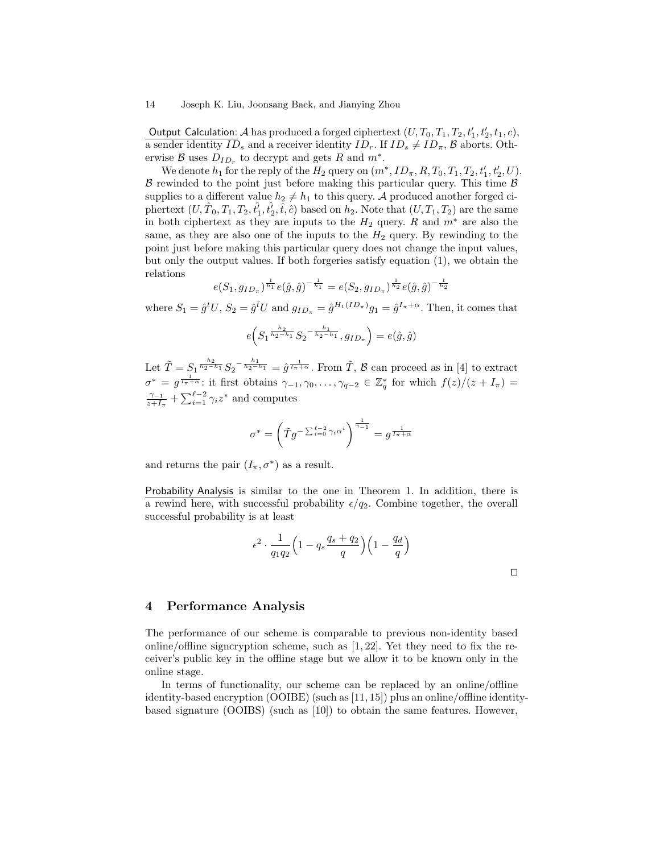**Output Calculation:** A has produced a forged ciphertext  $(U, T_0, T_1, T_2, t'_1, t'_2, t_1, c)$ , a sender identity  $ID_s$  and a receiver identity  $ID_r$ . If  $ID_s \neq ID_\pi$ ,  $\beta$  aborts. Otherwise  $\mathcal{B}$  uses  $D_{ID_r}$  to decrypt and gets R and  $m^*$ .

We denote  $h_1$  for the reply of the  $H_2$  query on  $(m^*, ID_{\pi}, R, T_0, T_1, T_2, t'_1, t'_2, U)$ .  $\beta$  rewinded to the point just before making this particular query. This time  $\beta$ supplies to a different value  $h_2 \neq h_1$  to this query. A produced another forged ciphertext  $(U, \hat{T}_0, T_1, T_2, \hat{t}_1^i, \hat{t}_2^j, \hat{t}, \hat{c})$  based on  $h_2$ . Note that  $(U, T_1, T_2)$  are the same in both ciphertext as they are inputs to the  $H_2$  query. R and  $m^*$  are also the same, as they are also one of the inputs to the  $H_2$  query. By rewinding to the point just before making this particular query does not change the input values, but only the output values. If both forgeries satisfy equation (1), we obtain the relations

$$
e(S_1, g_{ID_\pi})^{\frac{1}{h_1}} e(\hat{g}, \hat{g})^{-\frac{1}{h_1}} = e(S_2, g_{ID_\pi})^{\frac{1}{h_2}} e(\hat{g}, \hat{g})^{-\frac{1}{h_2}}
$$

where  $S_1 = \hat{g}^t U$ ,  $S_2 = \hat{g}^t U$  and  $g_{ID_\pi} = \hat{g}^{H_1(ID_\pi)} g_1 = \hat{g}^{I_\pi + \alpha}$ . Then, it comes that

$$
e\left(S_1^{\frac{h_2}{h_2 - h_1}} S_2^{-\frac{h_1}{h_2 - h_1}}, g_{ID_\pi}\right) = e(\hat{g}, \hat{g})
$$

Let  $\tilde{T} = S_1 \frac{h_2}{h_2 - h_1} S_2^{-\frac{h_1}{h_2 - h_1}} = \hat{g}^{\frac{1}{I_{\pi} + \alpha}}$ . From  $\tilde{T}$ ,  $\mathcal{B}$  can proceed as in [4] to extract  $\sigma^* = g^{\frac{1}{I_{\pi}+\alpha}}$ : it first obtains  $\gamma_{-1}, \gamma_0, \ldots, \gamma_{q-2} \in \mathbb{Z}_q^*$  for which  $f(z)/(z+I_{\pi}) =$  $\gamma$ <sup>-1</sup>  $\frac{\gamma_{-1}}{z+I_{\pi}} + \sum_{i=1}^{\ell-2} \gamma_i z^*$  and computes

$$
\sigma^* = \left(\tilde{T}g^{-\sum_{i=0}^{\ell-2} \gamma_i \alpha^i}\right)^{\frac{1}{\gamma-1}} = g^{\frac{1}{I_{\pi}+\alpha}}
$$

and returns the pair  $(I_{\pi}, \sigma^*)$  as a result.

Probability Analysis is similar to the one in Theorem 1. In addition, there is a rewind here, with successful probability  $\epsilon/q_2$ . Combine together, the overall successful probability is at least

$$
\epsilon^2 \cdot \frac{1}{q_1 q_2} \Big( 1 - q_s \frac{q_s + q_2}{q} \Big) \Big( 1 - \frac{q_d}{q} \Big)
$$

 $\Box$ 

## 4 Performance Analysis

The performance of our scheme is comparable to previous non-identity based online/offline signcryption scheme, such as  $[1, 22]$ . Yet they need to fix the receiver's public key in the offline stage but we allow it to be known only in the online stage.

In terms of functionality, our scheme can be replaced by an online/offline identity-based encryption (OOIBE) (such as [11, 15]) plus an online/offline identitybased signature (OOIBS) (such as [10]) to obtain the same features. However,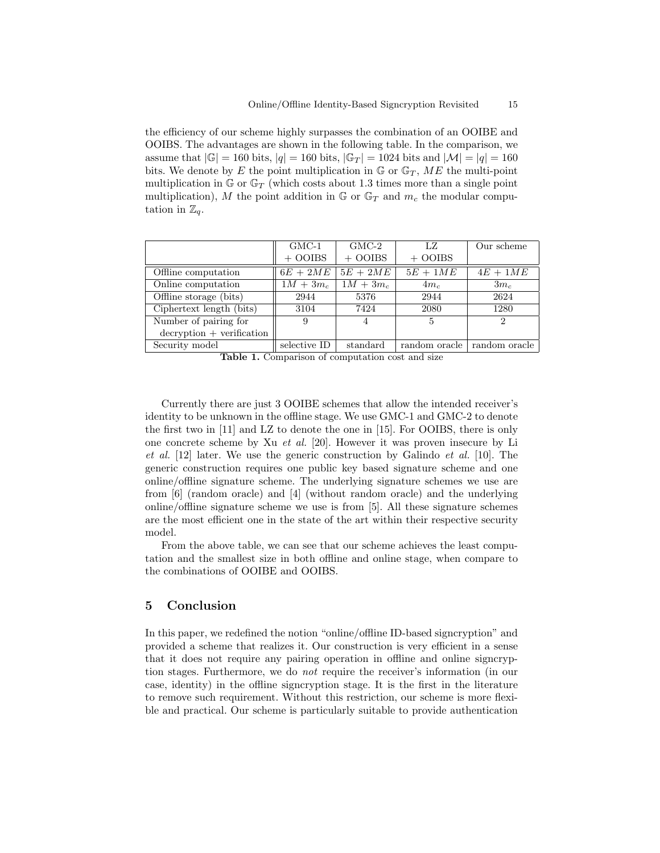the efficiency of our scheme highly surpasses the combination of an OOIBE and OOIBS. The advantages are shown in the following table. In the comparison, we assume that  $|G| = 160$  bits,  $|q| = 160$  bits,  $|G_T| = 1024$  bits and  $|M| = |q| = 160$ bits. We denote by E the point multiplication in  $\mathbb G$  or  $\mathbb G_T$ , ME the multi-point multiplication in  $\mathbb{G}$  or  $\mathbb{G}_T$  (which costs about 1.3 times more than a single point multiplication), M the point addition in G or  $\mathbb{G}_T$  and  $m_c$  the modular computation in  $\mathbb{Z}_q$ .

|                             | $GMC-1$      | $GMC-2$    | LZ.           | Our scheme    |
|-----------------------------|--------------|------------|---------------|---------------|
|                             | $+$ OOIBS    | $+$ OOIBS  | $+$ OOIBS     |               |
| Offline computation         | $6E + 2ME$   | $5E + 2ME$ | $5E + 1ME$    | $4E + 1ME$    |
| Online computation          | $1M + 3m_c$  | $1M+3m_c$  | $4m_c$        | $3m_c$        |
| Offline storage (bits)      | 2944         | 5376       | 2944          | 2624          |
| Ciphertext length (bits)    | 3104         | 7424       | 2080          | 1280          |
| Number of pairing for       | 9            | 4          | 5             | 2             |
| $decryption + verification$ |              |            |               |               |
| Security model              | selective ID | standard   | random oracle | random oracle |

Table 1. Comparison of computation cost and size

Currently there are just 3 OOIBE schemes that allow the intended receiver's identity to be unknown in the offline stage. We use GMC-1 and GMC-2 to denote the first two in [11] and LZ to denote the one in [15]. For OOIBS, there is only one concrete scheme by Xu et al. [20]. However it was proven insecure by Li et al. [12] later. We use the generic construction by Galindo et al. [10]. The generic construction requires one public key based signature scheme and one online/offline signature scheme. The underlying signature schemes we use are from [6] (random oracle) and [4] (without random oracle) and the underlying online/offline signature scheme we use is from [5]. All these signature schemes are the most efficient one in the state of the art within their respective security model.

From the above table, we can see that our scheme achieves the least computation and the smallest size in both offline and online stage, when compare to the combinations of OOIBE and OOIBS.

# 5 Conclusion

In this paper, we redefined the notion "online/offline ID-based signcryption" and provided a scheme that realizes it. Our construction is very efficient in a sense that it does not require any pairing operation in offline and online signcryption stages. Furthermore, we do not require the receiver's information (in our case, identity) in the offline signcryption stage. It is the first in the literature to remove such requirement. Without this restriction, our scheme is more flexible and practical. Our scheme is particularly suitable to provide authentication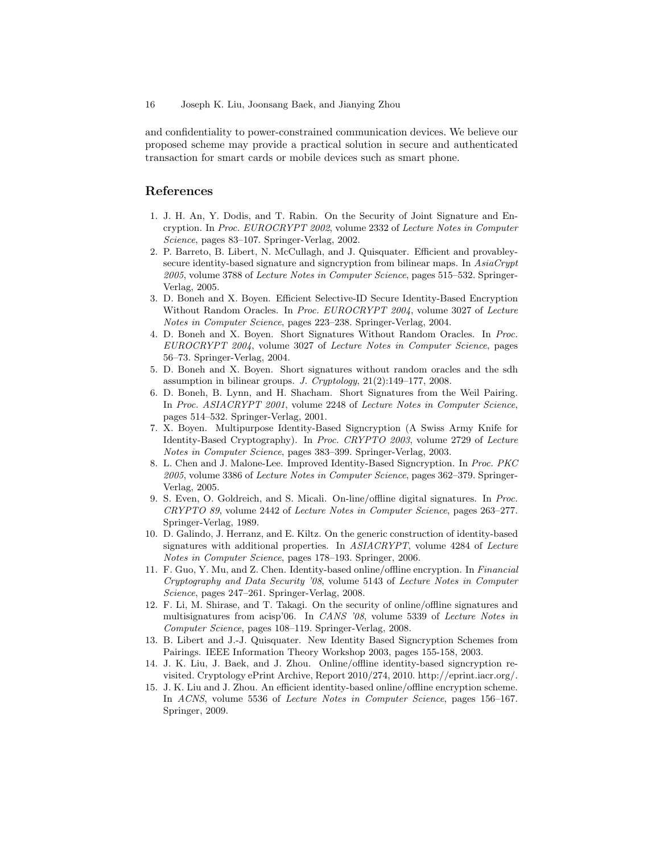and confidentiality to power-constrained communication devices. We believe our proposed scheme may provide a practical solution in secure and authenticated transaction for smart cards or mobile devices such as smart phone.

# References

- 1. J. H. An, Y. Dodis, and T. Rabin. On the Security of Joint Signature and Encryption. In Proc. EUROCRYPT 2002, volume 2332 of Lecture Notes in Computer Science, pages 83–107. Springer-Verlag, 2002.
- 2. P. Barreto, B. Libert, N. McCullagh, and J. Quisquater. Efficient and provableysecure identity-based signature and signcryption from bilinear maps. In AsiaCrypt 2005, volume 3788 of Lecture Notes in Computer Science, pages 515–532. Springer-Verlag, 2005.
- 3. D. Boneh and X. Boyen. Efficient Selective-ID Secure Identity-Based Encryption Without Random Oracles. In Proc. EUROCRYPT 2004, volume 3027 of Lecture Notes in Computer Science, pages 223–238. Springer-Verlag, 2004.
- 4. D. Boneh and X. Boyen. Short Signatures Without Random Oracles. In Proc. EUROCRYPT 2004, volume 3027 of Lecture Notes in Computer Science, pages 56–73. Springer-Verlag, 2004.
- 5. D. Boneh and X. Boyen. Short signatures without random oracles and the sdh assumption in bilinear groups. J. Cryptology, 21(2):149–177, 2008.
- 6. D. Boneh, B. Lynn, and H. Shacham. Short Signatures from the Weil Pairing. In Proc. ASIACRYPT 2001, volume 2248 of Lecture Notes in Computer Science, pages 514–532. Springer-Verlag, 2001.
- 7. X. Boyen. Multipurpose Identity-Based Signcryption (A Swiss Army Knife for Identity-Based Cryptography). In Proc. CRYPTO 2003, volume 2729 of Lecture Notes in Computer Science, pages 383–399. Springer-Verlag, 2003.
- 8. L. Chen and J. Malone-Lee. Improved Identity-Based Signcryption. In Proc. PKC 2005, volume 3386 of Lecture Notes in Computer Science, pages 362–379. Springer-Verlag, 2005.
- 9. S. Even, O. Goldreich, and S. Micali. On-line/offline digital signatures. In Proc. CRYPTO 89, volume 2442 of Lecture Notes in Computer Science, pages 263–277. Springer-Verlag, 1989.
- 10. D. Galindo, J. Herranz, and E. Kiltz. On the generic construction of identity-based signatures with additional properties. In ASIACRYPT, volume 4284 of Lecture Notes in Computer Science, pages 178–193. Springer, 2006.
- 11. F. Guo, Y. Mu, and Z. Chen. Identity-based online/offline encryption. In Financial Cryptography and Data Security '08, volume 5143 of Lecture Notes in Computer Science, pages 247–261. Springer-Verlag, 2008.
- 12. F. Li, M. Shirase, and T. Takagi. On the security of online/offline signatures and multisignatures from acisp'06. In CANS '08, volume 5339 of Lecture Notes in Computer Science, pages 108–119. Springer-Verlag, 2008.
- 13. B. Libert and J.-J. Quisquater. New Identity Based Signcryption Schemes from Pairings. IEEE Information Theory Workshop 2003, pages 155-158, 2003.
- 14. J. K. Liu, J. Baek, and J. Zhou. Online/offline identity-based signcryption revisited. Cryptology ePrint Archive, Report 2010/274, 2010. http://eprint.iacr.org/.
- 15. J. K. Liu and J. Zhou. An efficient identity-based online/offline encryption scheme. In ACNS, volume 5536 of Lecture Notes in Computer Science, pages 156–167. Springer, 2009.